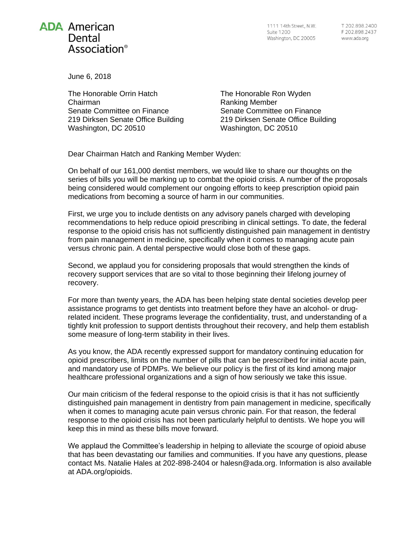## **ADA American** Dental Association<sup>®</sup>

1111 14th Street, N.W. **Suite 1200** Washington, DC 20005

June 6, 2018

The Honorable Orrin Hatch Chairman Senate Committee on Finance 219 Dirksen Senate Office Building Washington, DC 20510

The Honorable Ron Wyden Ranking Member Senate Committee on Finance 219 Dirksen Senate Office Building Washington, DC 20510

Dear Chairman Hatch and Ranking Member Wyden:

On behalf of our 161,000 dentist members, we would like to share our thoughts on the series of bills you will be marking up to combat the opioid crisis. A number of the proposals being considered would complement our ongoing efforts to keep prescription opioid pain medications from becoming a source of harm in our communities.

First, we urge you to include dentists on any advisory panels charged with developing recommendations to help reduce opioid prescribing in clinical settings. To date, the federal response to the opioid crisis has not sufficiently distinguished pain management in dentistry from pain management in medicine, specifically when it comes to managing acute pain versus chronic pain. A dental perspective would close both of these gaps.

Second, we applaud you for considering proposals that would strengthen the kinds of recovery support services that are so vital to those beginning their lifelong journey of recovery.

For more than twenty years, the ADA has been helping state dental societies develop peer assistance programs to get dentists into treatment before they have an alcohol- or drugrelated incident. These programs leverage the confidentiality, trust, and understanding of a tightly knit profession to support dentists throughout their recovery, and help them establish some measure of long-term stability in their lives.

As you know, the ADA recently expressed support for mandatory continuing education for opioid prescribers, limits on the number of pills that can be prescribed for initial acute pain, and mandatory use of PDMPs. We believe our policy is the first of its kind among major healthcare professional organizations and a sign of how seriously we take this issue.

Our main criticism of the federal response to the opioid crisis is that it has not sufficiently distinguished pain management in dentistry from pain management in medicine, specifically when it comes to managing acute pain versus chronic pain. For that reason, the federal response to the opioid crisis has not been particularly helpful to dentists. We hope you will keep this in mind as these bills move forward.

We applaud the Committee's leadership in helping to alleviate the scourge of opioid abuse that has been devastating our families and communities. If you have any questions, please contact Ms. Natalie Hales at 202-898-2404 or [halesn@ada.org.](mailto:halesn@ada.org) Information is also available at [ADA.org/opioids.](http://ada.org/opioids)